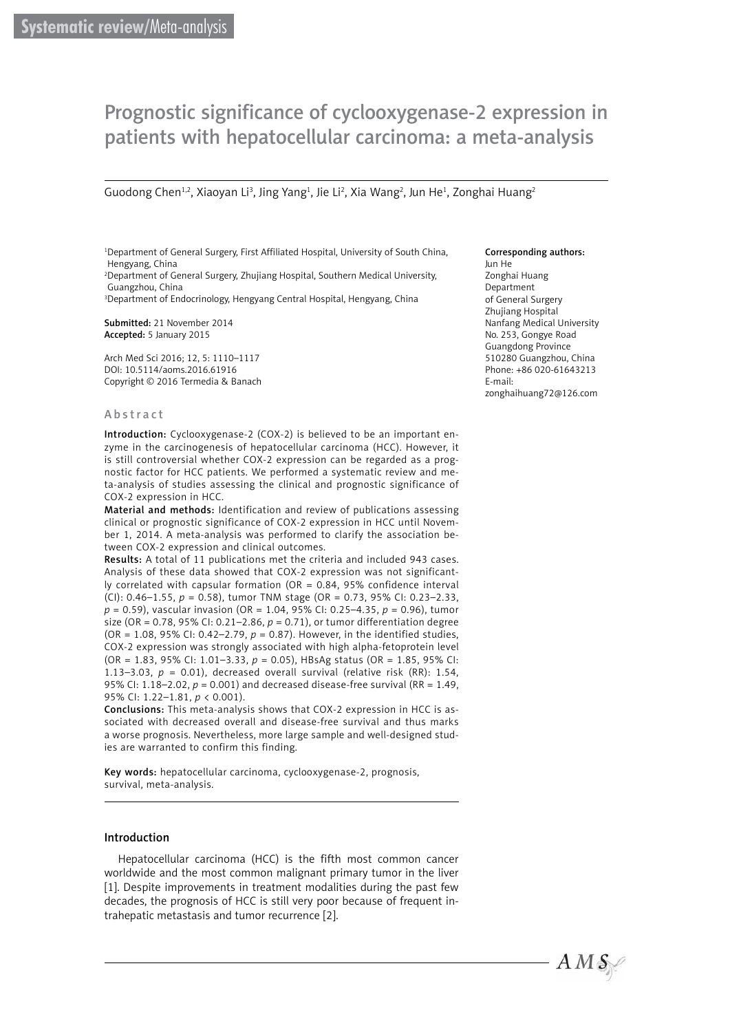# Prognostic significance of cyclooxygenase-2 expression in patients with hepatocellular carcinoma: a meta-analysis

Guodong Chen<sup>1,2</sup>, Xiaoyan Li<sup>3</sup>, Jing Yang<sup>1</sup>, Jie Li<sup>2</sup>, Xia Wang<sup>2</sup>, Jun He<sup>1</sup>, Zonghai Huang<sup>2</sup>

1 Department of General Surgery, First Affiliated Hospital, University of South China, Hengyang, China

2 Department of General Surgery, Zhujiang Hospital, Southern Medical University, Guangzhou, China

3 Department of Endocrinology, Hengyang Central Hospital, Hengyang, China

Submitted: 21 November 2014 Accepted: 5 January 2015

Arch Med Sci 2016; 12, 5: 1110–1117 DOI: 10.5114/aoms.2016.61916 Copyright © 2016 Termedia & Banach

#### Corresponding authors:

Jun He Zonghai Huang Department of General Surgery Zhujiang Hospital Nanfang Medical University No. 253, Gongye Road Guangdong Province 510280 Guangzhou, China Phone: +86 020-61643213 E-mail: zonghaihuang72@126.com

#### Abstract

Introduction: Cyclooxygenase-2 (COX-2) is believed to be an important enzyme in the carcinogenesis of hepatocellular carcinoma (HCC). However, it is still controversial whether COX-2 expression can be regarded as a prognostic factor for HCC patients. We performed a systematic review and meta-analysis of studies assessing the clinical and prognostic significance of COX-2 expression in HCC.

Material and methods: Identification and review of publications assessing clinical or prognostic significance of COX-2 expression in HCC until November 1, 2014. A meta-analysis was performed to clarify the association between COX-2 expression and clinical outcomes.

Results: A total of 11 publications met the criteria and included 943 cases. Analysis of these data showed that COX-2 expression was not significantly correlated with capsular formation (OR =  $0.84$ , 95% confidence interval (CI): 0.46–1.55, *p* = 0.58), tumor TNM stage (OR = 0.73, 95% CI: 0.23–2.33, *p* = 0.59), vascular invasion (OR = 1.04, 95% CI: 0.25–4.35, *p* = 0.96), tumor size (OR = 0.78, 95% CI: 0.21–2.86, *p* = 0.71), or tumor differentiation degree (OR = 1.08, 95% CI: 0.42–2.79, *p* = 0.87). However, in the identified studies, COX-2 expression was strongly associated with high alpha-fetoprotein level (OR = 1.83, 95% CI: 1.01–3.33, *p* = 0.05), HBsAg status (OR = 1.85, 95% CI: 1.13-3.03,  $p = 0.01$ ), decreased overall survival (relative risk (RR): 1.54, 95% CI: 1.18–2.02, *p* = 0.001) and decreased disease-free survival (RR = 1.49, 95% CI: 1.22–1.81, *p* < 0.001).

Conclusions: This meta-analysis shows that COX-2 expression in HCC is associated with decreased overall and disease-free survival and thus marks a worse prognosis. Nevertheless, more large sample and well-designed studies are warranted to confirm this finding.

Key words: hepatocellular carcinoma, cyclooxygenase-2, prognosis, survival, meta-analysis.

### Introduction

Hepatocellular carcinoma (HCC) is the fifth most common cancer worldwide and the most common malignant primary tumor in the liver [[1\]](file:///D:/Prace/AMS%205%202016/teksty/#_ENREF_1). Despite improvements in treatment modalities during the past few decades, the prognosis of HCC is still very poor because of frequent intrahepatic metastasis and tumor recurrence [\[2](file:///D:/Prace/AMS%205%202016/teksty/#_ENREF_2)].

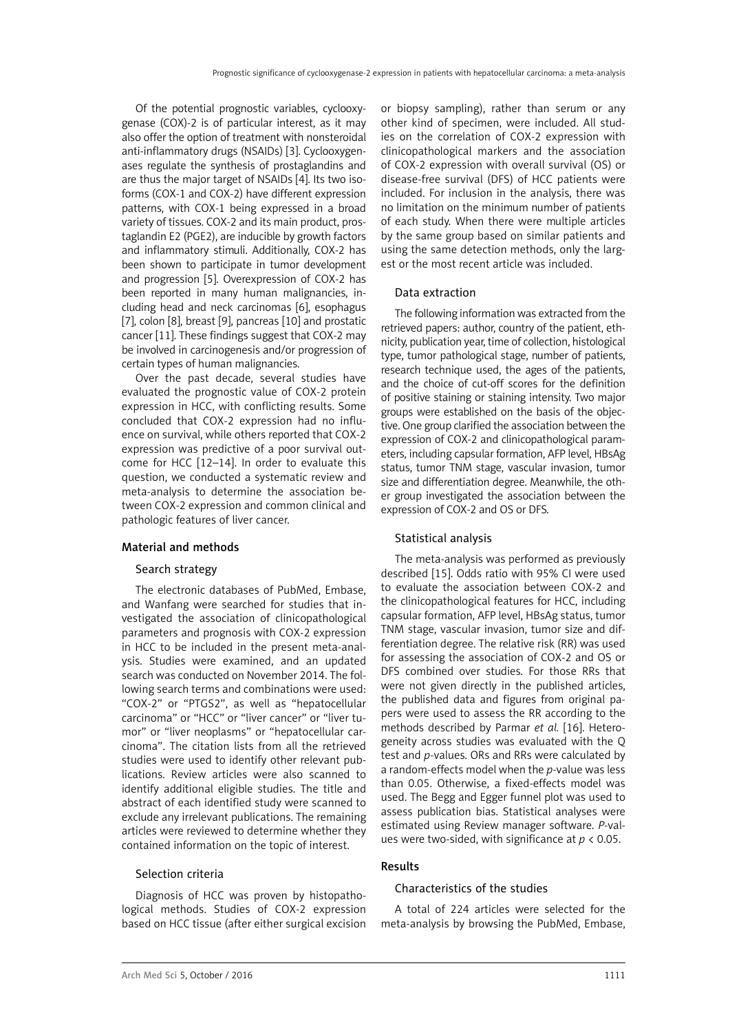Of the potential prognostic variables, cyclooxygenase (COX)-2 is of particular interest, as it may also offer the option of treatment with nonsteroidal anti-inflammatory drugs (NSAIDs) [[3\]](file:///D:/Prace/AMS%205%202016/teksty/#_ENREF_3). Cyclooxygenases regulate the synthesis of prostaglandins and are thus the major target of NSAIDs [[4\]](file:///D:/Prace/AMS%205%202016/teksty/#_ENREF_4). Its two isoforms (COX-1 and COX-2) have different expression patterns, with COX-1 being expressed in a broad variety of tissues. COX-2 and its main product, prostaglandin E2 (PGE2), are inducible by growth factors and inflammatory stimuli. Additionally, COX-2 has been shown to participate in tumor development and progression [\[5\]](file:///D:/Prace/AMS%205%202016/teksty/#_ENREF_5). Overexpression of COX-2 has been reported in many human malignancies, including head and neck carcinomas [[6\]](file:///D:/Prace/AMS%205%202016/teksty/#_ENREF_6), esophagus [[7\]](file:///D:/Prace/AMS%205%202016/teksty/#_ENREF_7), colon [\[8](file:///D:/Prace/AMS%205%202016/teksty/#_ENREF_8)], breast [[9\]](file:///D:/Prace/AMS%205%202016/teksty/#_ENREF_9), pancreas [[10\]](file:///D:/Prace/AMS%205%202016/teksty/#_ENREF_10) and prostatic cancer [\[11](file:///D:/Prace/AMS%205%202016/teksty/#_ENREF_11)]. These findings suggest that COX-2 may be involved in carcinogenesis and/or progression of certain types of human malignancies.

Over the past decade, several studies have evaluated the prognostic value of COX-2 protein expression in HCC, with conflicting results. Some concluded that COX-2 expression had no influence on survival, while others reported that COX-2 expression was predictive of a poor survival outcome for HCC [\[12–14](file:///D:/Prace/AMS%205%202016/teksty/#_ENREF_12)]. In order to evaluate this question, we conducted a systematic review and meta-analysis to determine the association between COX-2 expression and common clinical and pathologic features of liver cancer.

### Material and methods

### Search strategy

The electronic databases of PubMed, Embase, and Wanfang were searched for studies that investigated the association of clinicopathological parameters and prognosis with COX-2 expression in HCC to be included in the present meta-analysis. Studies were examined, and an updated search was conducted on November 2014. The following search terms and combinations were used: "COX-2" or "PTGS2", as well as "hepatocellular carcinoma" or "HCC" or "liver cancer" or "liver tumor" or "liver neoplasms" or "hepatocellular carcinoma". The citation lists from all the retrieved studies were used to identify other relevant publications. Review articles were also scanned to identify additional eligible studies. The title and abstract of each identified study were scanned to exclude any irrelevant publications. The remaining articles were reviewed to determine whether they contained information on the topic of interest.

### Selection criteria

Diagnosis of HCC was proven by histopathological methods. Studies of COX-2 expression based on HCC tissue (after either surgical excision or biopsy sampling), rather than serum or any other kind of specimen, were included. All studies on the correlation of COX-2 expression with clinicopathological markers and the association of COX-2 expression with overall survival (OS) or disease-free survival (DFS) of HCC patients were included. For inclusion in the analysis, there was no limitation on the minimum number of patients of each study. When there were multiple articles by the same group based on similar patients and using the same detection methods, only the largest or the most recent article was included.

### Data extraction

The following information was extracted from the retrieved papers: author, country of the patient, ethnicity, publication year, time of collection, histological type, tumor pathological stage, number of patients, research technique used, the ages of the patients, and the choice of cut-off scores for the definition of positive staining or staining intensity. Two major groups were established on the basis of the objective. One group clarified the association between the expression of COX-2 and clinicopathological parameters, including capsular formation, AFP level, HBsAg status, tumor TNM stage, vascular invasion, tumor size and differentiation degree. Meanwhile, the other group investigated the association between the expression of COX-2 and OS or DFS.

### Statistical analysis

The meta-analysis was performed as previously described [[15\]](file:///D:/Prace/AMS%205%202016/teksty/#_ENREF_15). Odds ratio with 95% CI were used to evaluate the association between COX-2 and the clinicopathological features for HCC, including capsular formation, AFP level, HBsAg status, tumor TNM stage, vascular invasion, tumor size and differentiation degree. The relative risk (RR) was used for assessing the association of COX-2 and OS or DFS combined over studies. For those RRs that were not given directly in the published articles, the published data and figures from original papers were used to assess the RR according to the methods described by Parmar *et al.* [\[16](file:///D:/Prace/AMS%205%202016/teksty/#_ENREF_16)]. Heterogeneity across studies was evaluated with the Q test and *p-*values. ORs and RRs were calculated by a random-effects model when the *p*-value was less than 0.05. Otherwise, a fixed-effects model was used. The Begg and Egger funnel plot was used to assess publication bias. Statistical analyses were estimated using Review manager software. *P*-values were two-sided, with significance at *p* < 0.05.

## Results

### Characteristics of the studies

A total of 224 articles were selected for the meta-analysis by browsing the PubMed, Embase,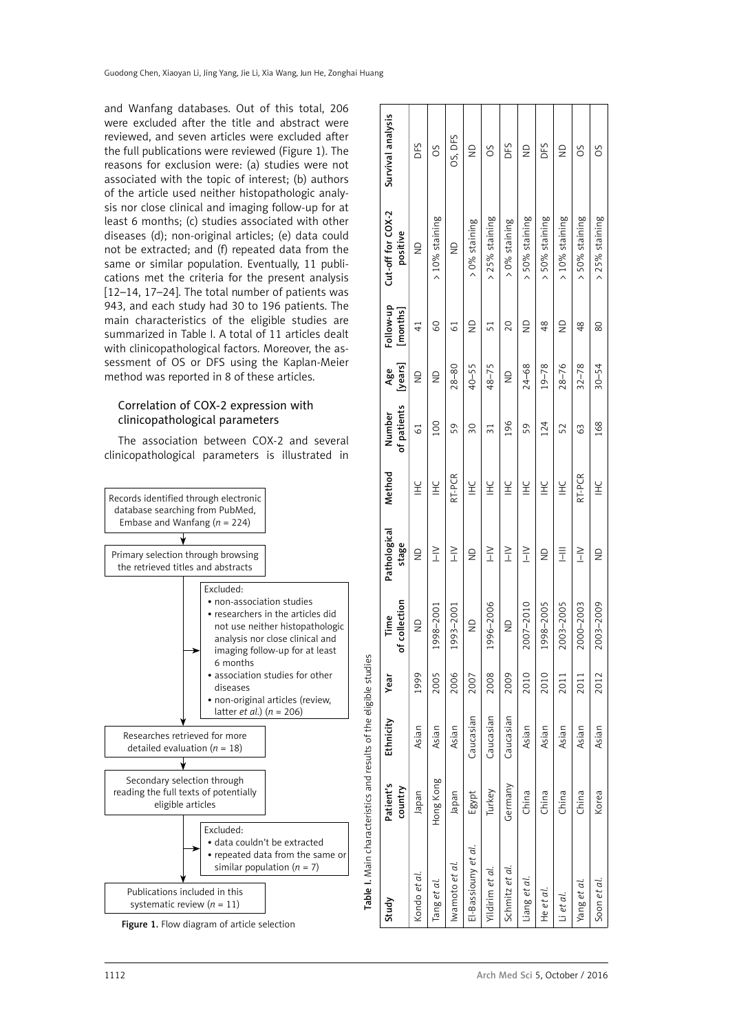and Wanfang databases. Out of this total, 206 were excluded after the title and abstract were reviewed, and seven articles were excluded after the full publications were reviewed [\(Figure 1](file:///D:/Prace/AMS%205%202016/teksty/#fig1)). The reasons for exclusion were: (a) studies were not associated with the topic of interest; (b) authors of the article used neither histopathologic analysis nor close clinical and imaging follow-up for at least 6 months; (c) studies associated with other diseases (d); non-original articles; (e) data could not be extracted; and (f) repeated data from the same or similar population. Eventually, 11 publications met the criteria for the present analysis [[12–14,](file:///D:/Prace/AMS%205%202016/teksty/#_ENREF_12) [17–24\]](file:///D:/Prace/AMS%205%202016/teksty/#_ENREF_17). The total number of patients was 943, and each study had 30 to 196 patients. The main characteristics of the eligible studies are summarized in Table I. A total of 11 articles dealt with clinicopathological factors. Moreover, the assessment of OS or DFS using the Kaplan-Meier method was reported in 8 of these articles.

# Correlation of COX-2 expression with clinicopathological parameters

The association between COX-2 and several clinicopathological parameters is illustrated in



Table I. Main characteristics and results of the eligible studies

Table I. Main characteristics and results of the eligible studies

Figure 1. Flow diagram of article selection

| Study               | Patient's<br>country | Ethnicity | Year | of collection<br>Time | Pathological<br>stage | Method                                   | of patients<br>Number | [years]<br>Age          | Follow-up<br>[months] | Cut-off for COX-2<br>positive | Survival analysis |
|---------------------|----------------------|-----------|------|-----------------------|-----------------------|------------------------------------------|-----------------------|-------------------------|-----------------------|-------------------------------|-------------------|
| Kondo et al         | Japan                | Asian     | 1999 | $\supseteq$           | $\frac{1}{2}$         | )<br>王                                   | $\overline{61}$       | $\supseteq$             | 41                    | $\supseteq$                   | DFS               |
| Tang et al.         | Hong Kong            | Asian     | 2005 | 998–2001              | $\geq$                | 노<br>                                    | $\overline{00}$       | $\frac{\Omega}{\Omega}$ | $\frac{60}{2}$        | > 10% staining                | SO                |
| wamoto et al        | Japan                | Asian     | 2006 | 993-2001              | $\geq$                | RT-PCR                                   | 59                    | $28 - 80$               | $\overline{6}$        | $\frac{1}{2}$                 | OS, DFS           |
| El-Bassiouny et al. | Egypt                | Caucasian | 2007 | $\supseteq$           | $\frac{1}{2}$         | $\stackrel{\small\cup}{\equiv}$          | $\frac{30}{5}$        | $40 - 55$               | $\frac{1}{2}$         | > 0% staining                 | $\supseteq$       |
| Yildirim et al.     | Turkey               | Caucasian | 2008 | 996-2006              | $\geq$                | ¥                                        | $\overline{31}$       | $48 - 75$               | 51                    | > 25% staining                | SO                |
| Schmitz et al.      | Germany              | Caucasian | 2009 | $\frac{1}{2}$         | $\geq$                | ¥                                        | 196                   | $\supseteq$             | 20                    | > 0% staining                 | DFS               |
| Liang et al         | China                | Asian     | 2010 | 2007-2010             | $\geq$                | ¥                                        | 59                    | 24-68                   | $\frac{1}{2}$         | > 50% staining                | $\supseteq$       |
| He et al            | China                | Asian     | 2010 | 998-2005              | $\frac{0}{2}$         | )<br>王                                   | 124                   | $19 - 78$               | 48                    | > 50% staining                | DFS               |
| Li et al            | China                | Asian     | 2011 | 2003-2005             | Ī                     | $\stackrel{\small\cup}{\equiv}$          | 52                    | $28 - 76$               | $\frac{1}{2}$         | > 10% staining                | $\supseteq$       |
| Yang et al          | China                | Asian     | 2011 | 2000-2003             | $\geq$                | RT-PCR                                   | 63                    | $32 - 78$               | 48                    | > 50% staining                | SO                |
| Soon et al          | Korea                | Asian     | 2012 | 2003-2009             | $\frac{1}{2}$         | $\stackrel{\small\cup}{\scriptstyle\pm}$ | 168                   | $30 - 54$               | 80                    | > 25% staining                | SO                |
|                     |                      |           |      |                       |                       |                                          |                       |                         |                       |                               |                   |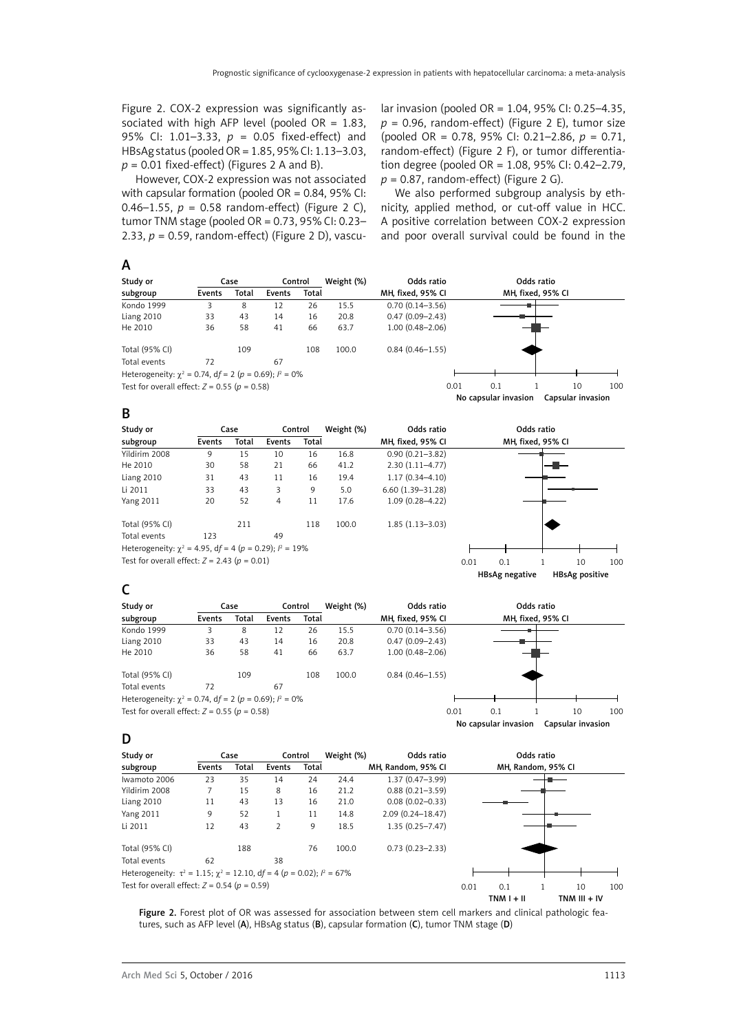Figure 2. COX-2 expression was significantly associated with high AFP level (pooled  $OR = 1.83$ , 95% CI: 1.01–3.33, *p* = 0.05 fixed-effect) and HBsAg status (pooled OR = 1.85, 95% CI: 1.13–3.03,  $p = 0.01$  fixed-effect) (Figures 2 A and B).

However, COX-2 expression was not associated with capsular formation (pooled  $OR = 0.84$ , 95% CI: 0.46–1.55,  $p = 0.58$  random-effect) (Figure 2 C), tumor TNM stage (pooled OR =  $0.73$ ,  $95\%$  CI:  $0.23-$ 2.33, *p* = 0.59, random-effect) (Figure 2 D), vascular invasion (pooled OR = 1.04, 95% CI: 0.25–4.35,  $p = 0.96$ , random-effect) (Figure 2 E), tumor size (pooled OR = 0.78, 95% CI: 0.21–2.86, *p* = 0.71, random-effect) (Figure 2 F), or tumor differentiation degree (pooled OR = 1.08, 95% CI: 0.42–2.79, *p* = 0.87, random-effect) (Figure 2 G).

We also performed subgroup analysis by ethnicity, applied method, or cut-off value in HCC. A positive correlation between COX-2 expression and poor overall survival could be found in the

| Study or                                                      |        | Case  |        | Control | Weight (%) | Odds ratio          |                      | Odds ratio        |                   |                 |
|---------------------------------------------------------------|--------|-------|--------|---------|------------|---------------------|----------------------|-------------------|-------------------|-----------------|
| subgroup                                                      | Events | Total | Events | Total   |            | MH, fixed, 95% CI   |                      | MH, fixed, 95% CI |                   |                 |
| Kondo 1999                                                    | 3      | 8     | 12     | 26      | 15.5       | $0.70(0.14 - 3.56)$ |                      |                   |                   |                 |
| Liang 2010                                                    | 33     | 43    | 14     | 16      | 20.8       | $0.47(0.09 - 2.43)$ |                      |                   |                   |                 |
| He 2010                                                       | 36     | 58    | 41     | 66      | 63.7       | $1.00(0.48 - 2.06)$ |                      |                   |                   |                 |
| Total (95% CI)                                                |        | 109   |        | 108     | 100.0      | $0.84(0.46 - 1.55)$ |                      |                   |                   |                 |
| Total events                                                  | 72     |       | 67     |         |            |                     |                      |                   |                   |                 |
| Heterogeneity: $\chi^2$ = 0.74, df = 2 (p = 0.69); $l^2$ = 0% |        |       |        |         |            |                     |                      |                   |                   |                 |
| Test for overall effect: $Z = 0.55$ ( $p = 0.58$ )            |        |       |        |         |            | 0.01                | 0.1                  |                   | 10                | 10 <sub>C</sub> |
|                                                               |        |       |        |         |            |                     | No capsular invasion |                   | Capsular invasion |                 |
| В                                                             |        |       |        |         |            |                     |                      |                   |                   |                 |

| Study or                                                       |        | Case  |        | Control | Weight (%) | Odds ratio           |      |                   | Odds ratio |                       |     |
|----------------------------------------------------------------|--------|-------|--------|---------|------------|----------------------|------|-------------------|------------|-----------------------|-----|
| subgroup                                                       | Events | Total | Events | Total   |            | MH, fixed, 95% CI    |      | MH, fixed, 95% CI |            |                       |     |
| Yildirim 2008                                                  | 9      | 15    | 10     | 16      | 16.8       | $0.90(0.21 - 3.82)$  |      |                   |            |                       |     |
| He 2010                                                        | 30     | 58    | 21     | 66      | 41.2       | $2.30(1.11-4.77)$    |      |                   |            |                       |     |
| Liang 2010                                                     | 31     | 43    | 11     | 16      | 19.4       | $1.17(0.34 - 4.10)$  |      |                   |            |                       |     |
| Li 2011                                                        | 33     | 43    | 3      | 9       | 5.0        | $6.60(1.39 - 31.28)$ |      |                   |            |                       |     |
| <b>Yang 2011</b>                                               | 20     | 52    | 4      | 11      | 17.6       | $1.09(0.28 - 4.22)$  |      |                   |            |                       |     |
| Total (95% CI)                                                 |        | 211   |        | 118     | 100.0      | $1.85(1.13 - 3.03)$  |      |                   |            |                       |     |
| Total events                                                   | 123    |       | 49     |         |            |                      |      |                   |            |                       |     |
| Heterogeneity: $\chi^2$ = 4.95, df = 4 (p = 0.29); $l^2$ = 19% |        |       |        |         |            |                      |      |                   |            |                       |     |
| Test for overall effect: $Z = 2.43$ ( $p = 0.01$ )             |        |       |        |         |            |                      | 0.01 | 0.1               |            | 10                    | 100 |
|                                                                |        |       |        |         |            |                      |      | HBsAg negative    |            | <b>HBsAg positive</b> |     |

# C

| Study or                                                      |        | Case  |        | Control | Weight (%) | Odds ratio          |      |                      | Odds ratio        |                   |     |
|---------------------------------------------------------------|--------|-------|--------|---------|------------|---------------------|------|----------------------|-------------------|-------------------|-----|
| subgroup                                                      | Events | Total | Events | Total   |            | MH, fixed, 95% CI   |      |                      | MH, fixed, 95% CI |                   |     |
| Kondo 1999                                                    |        | 8     | 12     | 26      | 15.5       | $0.70(0.14 - 3.56)$ |      |                      |                   |                   |     |
| Liang 2010                                                    | 33     | 43    | 14     | 16      | 20.8       | $0.47(0.09 - 2.43)$ |      |                      |                   |                   |     |
| He 2010                                                       | 36     | 58    | 41     | 66      | 63.7       | $1.00(0.48 - 2.06)$ |      |                      |                   |                   |     |
| Total (95% CI)                                                |        | 109   |        | 108     | 100.0      | $0.84(0.46 - 1.55)$ |      |                      |                   |                   |     |
| Total events                                                  | 72     |       | 67     |         |            |                     |      |                      |                   |                   |     |
| Heterogeneity: $\chi^2$ = 0.74, df = 2 (p = 0.69); $l^2$ = 0% |        |       |        |         |            |                     |      |                      |                   |                   |     |
| Test for overall effect: $Z = 0.55$ ( $p = 0.58$ )            |        |       |        |         |            |                     | 0.01 | 0.1                  |                   | 10                | 100 |
|                                                               |        |       |        |         |            |                     |      | No capsular invasion |                   | Capsular invasion |     |

## D

| Study or                                                                               |        | Case  |                | Control | Weight (%) | Odds ratio          |      |                    | Odds ratio |              |     |
|----------------------------------------------------------------------------------------|--------|-------|----------------|---------|------------|---------------------|------|--------------------|------------|--------------|-----|
| subgroup                                                                               | Events | Total | Events         | Total   |            | MH, Random, 95% CI  |      | MH, Random, 95% CI |            |              |     |
| Iwamoto 2006                                                                           | 23     | 35    | 14             | 24      | 24.4       | $1.37(0.47 - 3.99)$ |      |                    |            |              |     |
| Yildirim 2008                                                                          |        | 15    | 8              | 16      | 21.2       | $0.88(0.21 - 3.59)$ |      |                    |            |              |     |
| Liang 2010                                                                             | 11     | 43    | 13             | 16      | 21.0       | $0.08(0.02 - 0.33)$ |      |                    |            |              |     |
| <b>Yang 2011</b>                                                                       | 9      | 52    |                | 11      | 14.8       | 2.09 (0.24-18.47)   |      |                    |            |              |     |
| Li 2011                                                                                | 12     | 43    | $\overline{2}$ | 9       | 18.5       | $1.35(0.25 - 7.47)$ |      |                    |            |              |     |
| Total (95% CI)                                                                         |        | 188   |                | 76      | 100.0      | $0.73(0.23 - 2.33)$ |      |                    |            |              |     |
| Total events                                                                           | 62     |       | 38             |         |            |                     |      |                    |            |              |     |
| Heterogeneity: $\tau^2 = 1.15$ ; $\chi^2 = 12.10$ , $df = 4 (p = 0.02)$ ; $l^2 = 67\%$ |        |       |                |         |            |                     |      |                    |            |              |     |
| Test for overall effect: $Z = 0.54$ ( $p = 0.59$ )                                     |        |       |                |         |            |                     | 0.01 | 0.1                |            | 10           | 100 |
|                                                                                        |        |       |                |         |            |                     |      | $TNM I + II$       |            | TNM III + IV |     |

Figure 2. Forest plot of OR was assessed for association between stem cell markers and clinical pathologic features, such as AFP level (A), HBsAg status (B), capsular formation (C), tumor TNM stage (D)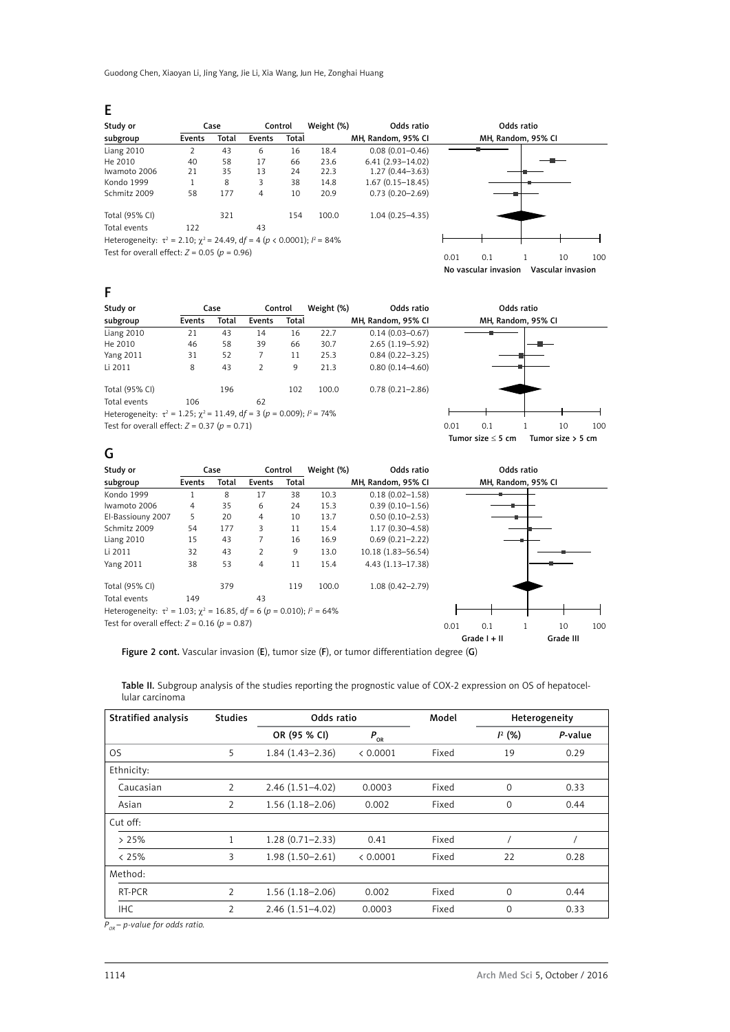Guodong Chen, Xiaoyan Li, Jing Yang, Jie Li, Xia Wang, Jun He, Zonghai Huang

E

| Study or                                                                                |        | Case  | Control |              | Weight (%) | Odds ratio           | Odds ratio         |
|-----------------------------------------------------------------------------------------|--------|-------|---------|--------------|------------|----------------------|--------------------|
| subgroup                                                                                | Events | Total | Events  | <b>Total</b> |            | MH, Random, 95% CI   | MH, Random, 95% CI |
| Liang 2010                                                                              |        | 43    | 6       | 16           | 18.4       | $0.08(0.01 - 0.46)$  |                    |
| He 2010                                                                                 | 40     | 58    | 17      | 66           | 23.6       | $6.41(2.93 - 14.02)$ |                    |
| Iwamoto 2006                                                                            | 21     | 35    | 13      | 24           | 22.3       | $1.27(0.44 - 3.63)$  |                    |
| Kondo 1999                                                                              |        | 8     | 3       | 38           | 14.8       | $1.67(0.15 - 18.45)$ |                    |
| Schmitz 2009                                                                            | 58     | 177   | 4       | 10           | 20.9       | $0.73(0.20 - 2.69)$  |                    |
| Total (95% CI)                                                                          |        | 321   |         | 154          | 100.0      | $1.04(0.25 - 4.35)$  |                    |
| Total events                                                                            | 122    |       | 43      |              |            |                      |                    |
| Heterogeneity: $\tau^2 = 2.10$ ; $\gamma^2 = 24.49$ , df = 4 (p < 0.0001); $l^2 = 84\%$ |        |       |         |              |            |                      |                    |



No vascular invasion Vascular invasion

# F

| Study or                                                                                   |        | Case  |        | Control | Weight (%) | Odds ratio          |      |     | Odds ratio         |    |                 |
|--------------------------------------------------------------------------------------------|--------|-------|--------|---------|------------|---------------------|------|-----|--------------------|----|-----------------|
| subgroup                                                                                   | Events | Total | Events | Total   |            | MH, Random, 95% CI  |      |     | MH, Random, 95% CI |    |                 |
| Liang 2010                                                                                 | 21     | 43    | 14     | 16      | 22.7       | $0.14(0.03 - 0.67)$ |      |     |                    |    |                 |
| He 2010                                                                                    | 46     | 58    | 39     | 66      | 30.7       | $2.65(1.19 - 5.92)$ |      |     |                    |    |                 |
| <b>Yang 2011</b>                                                                           | 31     | 52    |        | 11      | 25.3       | $0.84(0.22 - 3.25)$ |      |     |                    |    |                 |
| Li 2011                                                                                    | 8      | 43    |        | 9       | 21.3       | $0.80(0.14 - 4.60)$ |      |     |                    |    |                 |
| Total (95% CI)                                                                             |        | 196   |        | 102     | 100.0      | $0.78(0.21 - 2.86)$ |      |     |                    |    |                 |
| Total events                                                                               | 106    |       | 62     |         |            |                     |      |     |                    |    |                 |
| Heterogeneity: $\tau^2 = 1.25$ ; $\chi^2 = 11.49$ , $df = 3$ ( $p = 0.009$ ); $l^2 = 74\%$ |        |       |        |         |            |                     |      |     |                    |    |                 |
| Test for overall effect: $Z = 0.37$ ( $p = 0.71$ )                                         |        |       |        |         |            |                     | 0.01 | 0.1 |                    | 10 | 10 <sub>C</sub> |



# G

| Study or                                                                             |        | Case  |        | Control      | Weight (%) | Odds ratio           |      |                    | Odds ratio |           |     |
|--------------------------------------------------------------------------------------|--------|-------|--------|--------------|------------|----------------------|------|--------------------|------------|-----------|-----|
| subgroup                                                                             | Events | Total | Events | <b>Total</b> |            | MH, Random, 95% CI   |      | MH, Random, 95% CI |            |           |     |
| Kondo 1999                                                                           |        | 8     | 17     | 38           | 10.3       | $0.18(0.02 - 1.58)$  |      |                    |            |           |     |
| Iwamoto 2006                                                                         | 4      | 35    | 6      | 24           | 15.3       | $0.39(0.10 - 1.56)$  |      |                    |            |           |     |
| El-Bassiouny 2007                                                                    | 5      | 20    | 4      | 10           | 13.7       | $0.50(0.10 - 2.53)$  |      |                    |            |           |     |
| Schmitz 2009                                                                         | 54     | 177   | 3      | 11           | 15.4       | $1.17(0.30 - 4.58)$  |      |                    |            |           |     |
| Liang 2010                                                                           | 15     | 43    |        | 16           | 16.9       | $0.69(0.21 - 2.22)$  |      |                    |            |           |     |
| Li 2011                                                                              | 32     | 43    | 2      | 9            | 13.0       | 10.18 (1.83-56.54)   |      |                    |            |           |     |
| <b>Yang 2011</b>                                                                     | 38     | 53    | 4      | 11           | 15.4       | $4.43(1.13 - 17.38)$ |      |                    |            |           |     |
| Total (95% CI)                                                                       |        | 379   |        | 119          | 100.0      | $1.08(0.42 - 2.79)$  |      |                    |            |           |     |
| Total events                                                                         | 149    |       | 43     |              |            |                      |      |                    |            |           |     |
| Heterogeneity: $\tau^2 = 1.03$ ; $\chi^2 = 16.85$ , df = 6 (p = 0.010); $l^2 = 64\%$ |        |       |        |              |            |                      |      |                    |            |           |     |
| Test for overall effect: $Z = 0.16$ ( $p = 0.87$ )                                   |        |       |        |              |            |                      | 0.01 | 0.1                |            | 10        | 100 |
|                                                                                      |        |       |        |              |            |                      |      | Grade $I + II$     |            | Grade III |     |

Figure 2 cont. Vascular invasion (E), tumor size (F), or tumor differentiation degree (G)

Table II. Subgroup analysis of the studies reporting the prognostic value of COX-2 expression on OS of hepatocellular carcinoma

| Stratified analysis | <b>Studies</b> | Odds ratio          |          | Model |           | Heterogeneity |
|---------------------|----------------|---------------------|----------|-------|-----------|---------------|
|                     |                | OR (95 % CI)        | $P_{OR}$ |       | $I^2$ (%) | P-value       |
| <b>OS</b>           | 5.             | $1.84(1.43 - 2.36)$ | < 0.0001 | Fixed | 19        | 0.29          |
| Ethnicity:          |                |                     |          |       |           |               |
| Caucasian           | $\overline{2}$ | $2.46(1.51 - 4.02)$ | 0.0003   | Fixed | $\Omega$  | 0.33          |
| Asian               | $\overline{2}$ | $1.56(1.18 - 2.06)$ | 0.002    | Fixed | $\Omega$  | 0.44          |
| Cut off:            |                |                     |          |       |           |               |
| >25%                |                | $1.28(0.71 - 2.33)$ | 0.41     | Fixed |           |               |
| & 25%               | 3              | $1.98(1.50 - 2.61)$ | < 0.0001 | Fixed | 22        | 0.28          |
| Method:             |                |                     |          |       |           |               |
| RT-PCR              | $\overline{2}$ | $1.56(1.18 - 2.06)$ | 0.002    | Fixed | $\Omega$  | 0.44          |
| <b>IHC</b>          | $\overline{2}$ | $2.46(1.51 - 4.02)$ | 0.0003   | Fixed | $\Omega$  | 0.33          |

*POR – p-value for odds ratio.*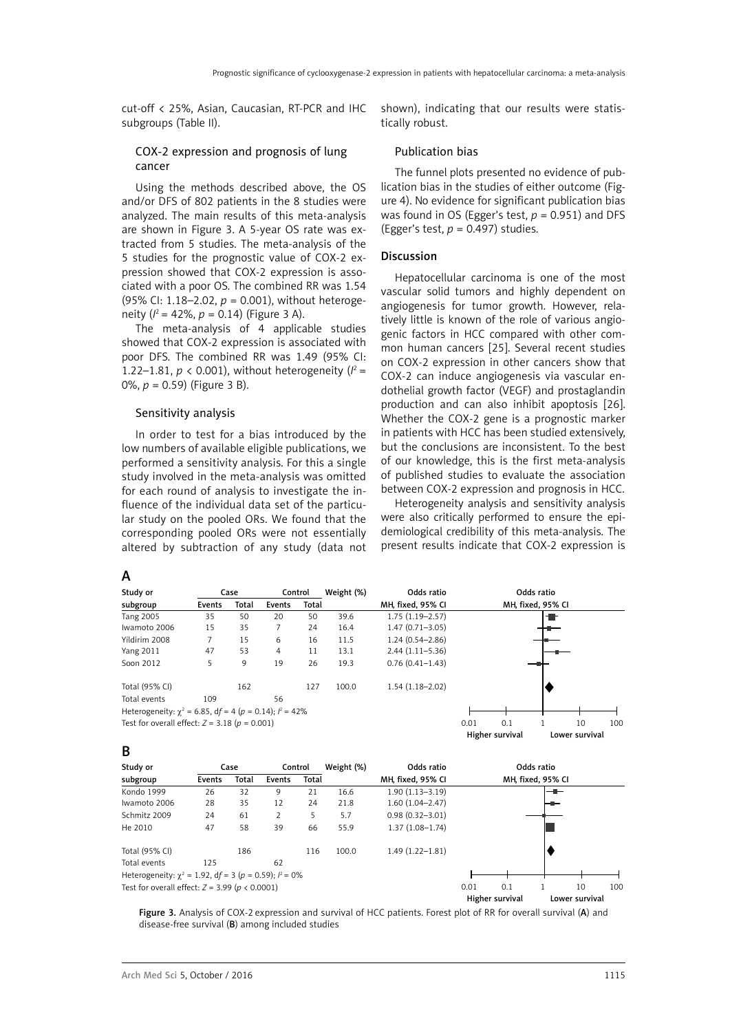cut-off < 25%, Asian, Caucasian, RT-PCR and IHC subgroups (Table II).

### COX-2 expression and prognosis of lung cancer

Using the methods described above, the OS and/or DFS of 802 patients in the 8 studies were analyzed. The main results of this meta-analysis are shown in [Figure 3](file:///D:/Prace/AMS%205%202016/teksty/#pone-0054970-t002). A 5-year OS rate was extracted from 5 studies. The meta-analysis of the 5 studies for the prognostic value of COX-2 expression showed that COX-2 expression is associated with a poor OS. The combined RR was 1.54 (95% CI: 1.18–2.02, *p* = 0.001), without heterogeneity (*I* 2 = 42%, *p* = 0.14) (Figure 3 A).

The meta-analysis of 4 applicable studies showed that COX-2 expression is associated with poor DFS. The combined RR was 1.49 (95% CI: 1.22–1.81,  $p < 0.001$ ), without heterogeneity ( $l^2 =$ 0%, *p* = 0.59) (Figure 3 B).

### Sensitivity analysis

In order to test for a bias introduced by the low numbers of available eligible publications, we performed a sensitivity analysis. For this a single study involved in the meta-analysis was omitted for each round of analysis to investigate the influence of the individual data set of the particular study on the pooled ORs. We found that the corresponding pooled ORs were not essentially altered by subtraction of any study (data not shown), indicating that our results were statistically robust.

### Publication bias

The funnel plots presented no evidence of publication bias in the studies of either outcome (Figure 4). No evidence for significant publication bias was found in OS (Egger's test,  $p = 0.951$ ) and DFS (Egger's test, *p* = 0.497) studies.

### Discussion

Hepatocellular carcinoma is one of the most vascular solid tumors and highly dependent on angiogenesis for tumor growth. However, relatively little is known of the role of various angiogenic factors in HCC compared with other common human cancers [\[25](file:///D:/Prace/AMS%205%202016/teksty/#_ENREF_25)]. Several recent studies on COX-2 expression in other cancers show that COX-2 can induce angiogenesis via vascular endothelial growth factor (VEGF) and prostaglandin production and can also inhibit apoptosis [\[26](file:///D:/Prace/AMS%205%202016/teksty/#_ENREF_26)]. Whether the COX-2 gene is a prognostic marker in patients with HCC has been studied extensively, but the conclusions are inconsistent. To the best of our knowledge, this is the first meta-analysis of published studies to evaluate the association between COX-2 expression and prognosis in HCC.

Heterogeneity analysis and sensitivity analysis were also critically performed to ensure the epidemiological credibility of this meta-analysis. The present results indicate that COX-2 expression is

A

B

| Study or                                                       |        | Case  |        | Control | Weight (%) | Odds ratio          |      |                 | Odds ratio        |                |     |
|----------------------------------------------------------------|--------|-------|--------|---------|------------|---------------------|------|-----------------|-------------------|----------------|-----|
| subgroup                                                       | Events | Total | Events | Total   |            | MH, fixed, 95% CI   |      |                 | MH, fixed, 95% CI |                |     |
| <b>Tang 2005</b>                                               | 35     | 50    | 20     | 50      | 39.6       | $1.75(1.19-2.57)$   |      |                 | ▜                 |                |     |
| Iwamoto 2006                                                   | 15     | 35    |        | 24      | 16.4       | $1.47(0.71 - 3.05)$ |      |                 |                   |                |     |
| Yildirim 2008                                                  | 7      | 15    | 6      | 16      | 11.5       | $1.24(0.54 - 2.86)$ |      |                 |                   |                |     |
| <b>Yang 2011</b>                                               | 47     | 53    | 4      | 11      | 13.1       | $2.44(1.11 - 5.36)$ |      |                 |                   |                |     |
| Soon 2012                                                      | 5      | 9     | 19     | 26      | 19.3       | $0.76(0.41 - 1.43)$ |      |                 |                   |                |     |
| Total (95% CI)                                                 |        | 162   |        | 127     | 100.0      | $1.54(1.18 - 2.02)$ |      |                 |                   |                |     |
| Total events                                                   | 109    |       | 56     |         |            |                     |      |                 |                   |                |     |
| Heterogeneity: $\chi^2$ = 6.85, df = 4 (p = 0.14); $l^2$ = 42% |        |       |        |         |            |                     |      |                 |                   |                |     |
| Test for overall effect: $Z = 3.18$ ( $p = 0.001$ )            |        |       |        |         |            |                     | 0.01 | 0.1             |                   | 10             | 100 |
|                                                                |        |       |        |         |            |                     |      | Higher survival |                   | Lower survival |     |

| Study or     |        | Case  | Control |       | Weight (%) | Odds ratio          | Odds ratio        |
|--------------|--------|-------|---------|-------|------------|---------------------|-------------------|
| subgroup     | Events | Total | Events  | Total |            | MH, fixed, 95% CI   | MH, fixed, 95% CI |
| Kondo 1999   | 26     | 32    | 9       | 21    | 16.6       | $1.90(1.13 - 3.19)$ | --                |
| Iwamoto 2006 | 28     | 35    | 12      | 24    | 21.8       | $1.60(1.04 - 2.47)$ | ╼                 |
| Schmitz 2009 | 24     | 61    |         |       | 5.7        | $0.98(0.32 - 3.01)$ |                   |
| He 2010      | 47     |       | 39      | 66    | 55.9       | $1.37(1.08 - 1.74)$ |                   |

Total (95% CI) 186 116 100.0 1.49 (1.22–1.81) Total events 125 62 Heterogeneity:  $\chi^2 = 1.92$ , df = 3 (p = 0.59);  $l^2 = 0\%$ 

Test for overall effect: *Z* = 3.99 (*p* < 0.0001) 0.01 0.1 1 10 100

Figure 3. Analysis of COX-2 expression and survival of HCC patients. Forest plot of RR for overall survival (A) and disease-free survival (B) among included studies

Higher survival Lower survival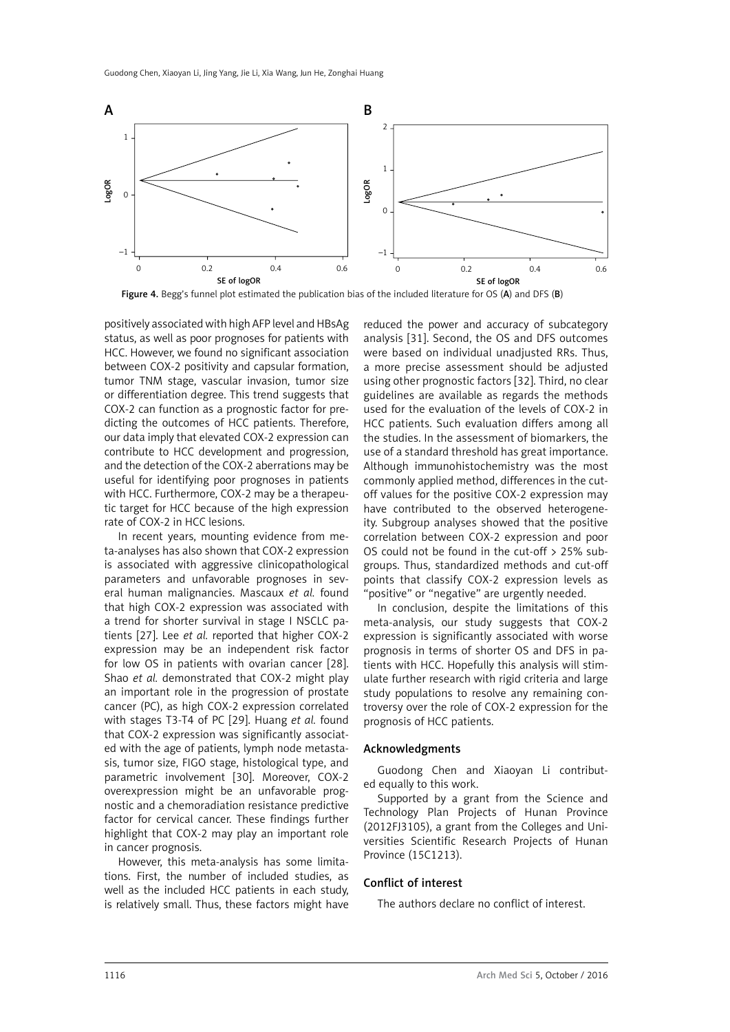

Figure 4. Begg's funnel plot estimated the publication bias of the included literature for OS (A) and DFS (B)

positively associated with high AFP level and HBsAg status, as well as poor prognoses for patients with HCC. However, we found no significant association between COX-2 positivity and capsular formation, tumor TNM stage, vascular invasion, tumor size or differentiation degree. This trend suggests that COX-2 can function as a prognostic factor for predicting the outcomes of HCC patients. Therefore, our data imply that elevated COX-2 expression can contribute to HCC development and progression, and the detection of the COX-2 aberrations may be useful for identifying poor prognoses in patients with HCC. Furthermore, COX-2 may be a therapeutic target for HCC because of the high expression rate of COX-2 in HCC lesions.

In recent years, mounting evidence from meta-analyses has also shown that COX-2 expression is associated with aggressive clinicopathological parameters and unfavorable prognoses in several human malignancies. Mascaux *et al.* found that high COX-2 expression was associated with a trend for shorter survival in stage I NSCLC patients [[27](file:///D:/Prace/AMS%205%202016/teksty/#_ENREF_27)]. Lee *et al.* reported that higher COX-2 expression may be an independent risk factor for low OS in patients with ovarian cancer [\[28\]](file:///D:/Prace/AMS%205%202016/teksty/#_ENREF_28). Shao *et al.* demonstrated that COX-2 might play an important role in the progression of prostate cancer (PC), as high COX-2 expression correlated with stages T3-T4 of PC [29]. Huang *et al.* found that COX-2 expression was significantly associated with the age of patients, lymph node metastasis, tumor size, FIGO stage, histological type, and parametric involvement [30]. Moreover, COX-2 overexpression might be an unfavorable prognostic and a chemoradiation resistance predictive factor for cervical cancer. These findings further highlight that COX-2 may play an important role in cancer prognosis.

However, this meta-analysis has some limitations. First, the number of included studies, as well as the included HCC patients in each study, is relatively small. Thus, these factors might have reduced the power and accuracy of subcategory analysis [31]. Second, the OS and DFS outcomes were based on individual unadjusted RRs. Thus, a more precise assessment should be adjusted using other prognostic factors [32]. Third, no clear guidelines are available as regards the methods used for the evaluation of the levels of COX-2 in HCC patients. Such evaluation differs among all the studies. In the assessment of biomarkers, the use of a standard threshold has great importance. Although immunohistochemistry was the most commonly applied method, differences in the cutoff values for the positive COX-2 expression may have contributed to the observed heterogeneity. Subgroup analyses showed that the positive correlation between COX-2 expression and poor OS could not be found in the cut-off > 25% subgroups. Thus, standardized methods and cut-off points that classify COX-2 expression levels as "positive" or "negative" are urgently needed.

In conclusion, despite the limitations of this meta-analysis, our study suggests that COX-2 expression is significantly associated with worse prognosis in terms of shorter OS and DFS in patients with HCC. Hopefully this analysis will stimulate further research with rigid criteria and large study populations to resolve any remaining controversy over the role of COX-2 expression for the prognosis of HCC patients.

### Acknowledgments

Guodong Chen and Xiaoyan Li contributed equally to this work.

Supported by a grant from the Science and Technology Plan Projects of Hunan Province (2012FJ3105), a grant from the Colleges and Universities Scientific Research Projects of Hunan Province (15C1213).

### Conflict of interest

The authors declare no conflict of interest.